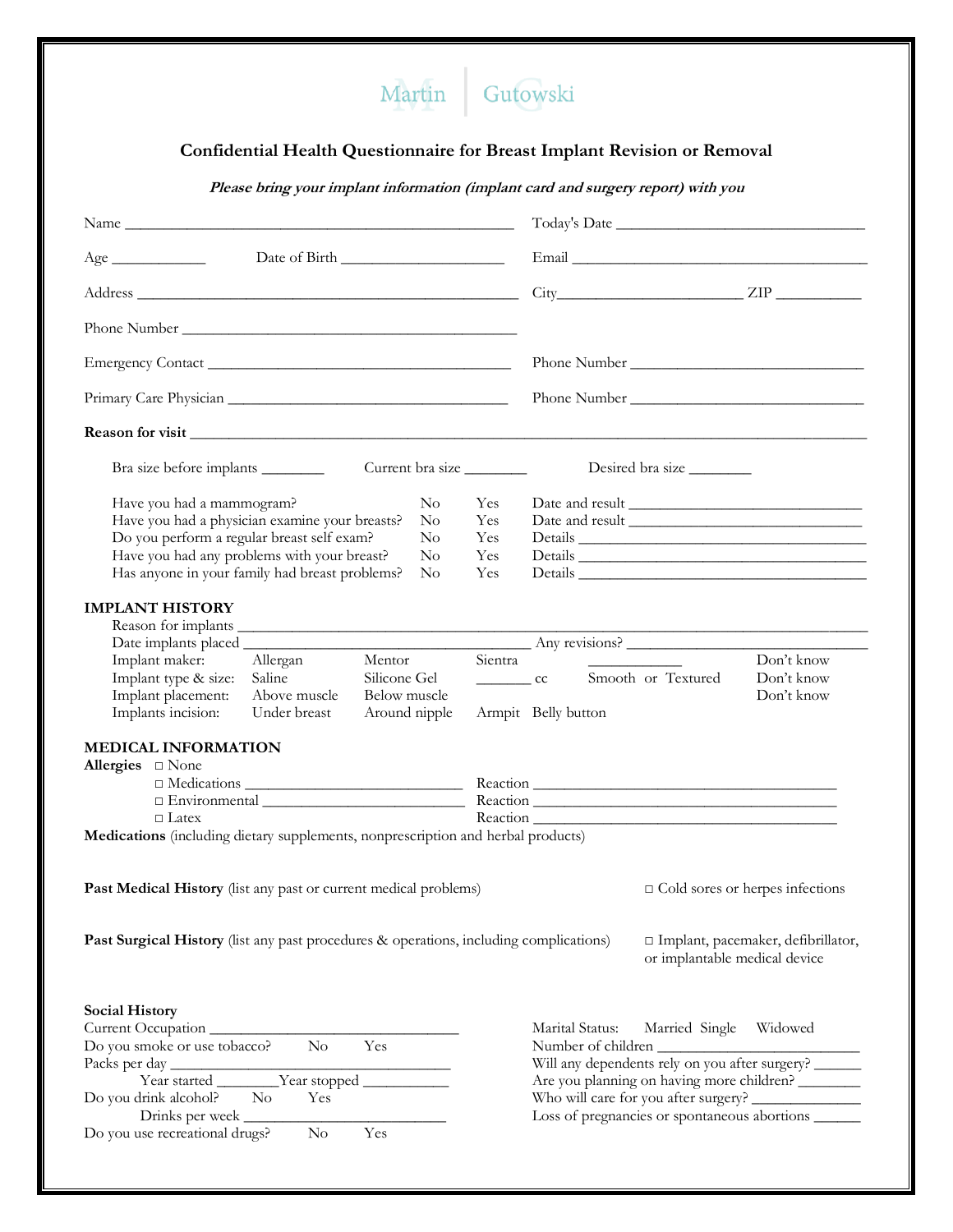## Martin Gutowski

## **Confidential Health Questionnaire for Breast Implant Revision or Removal**

**Please bring your implant information (implant card and surgery report) with you**

| Age                                                                                                                                                                                                                                                                                                                                           |                                                                                                                               |  |  |  |
|-----------------------------------------------------------------------------------------------------------------------------------------------------------------------------------------------------------------------------------------------------------------------------------------------------------------------------------------------|-------------------------------------------------------------------------------------------------------------------------------|--|--|--|
|                                                                                                                                                                                                                                                                                                                                               | $City$ $ZIP$ $ZIP$                                                                                                            |  |  |  |
|                                                                                                                                                                                                                                                                                                                                               |                                                                                                                               |  |  |  |
|                                                                                                                                                                                                                                                                                                                                               |                                                                                                                               |  |  |  |
|                                                                                                                                                                                                                                                                                                                                               |                                                                                                                               |  |  |  |
|                                                                                                                                                                                                                                                                                                                                               |                                                                                                                               |  |  |  |
| Bra size before implants<br>Current bra size                                                                                                                                                                                                                                                                                                  | Desired bra size                                                                                                              |  |  |  |
| Have you had a mammogram?<br>$\rm No$<br>Yes<br>Have you had a physician examine your breasts?<br>$\rm No$<br>Yes<br>Do you perform a regular breast self exam?<br>No<br>Yes<br>Have you had any problems with your breast?<br>$\rm No$<br>Yes<br>Has anyone in your family had breast problems?<br>$\rm No$<br>Yes<br><b>IMPLANT HISTORY</b> | Details                                                                                                                       |  |  |  |
|                                                                                                                                                                                                                                                                                                                                               |                                                                                                                               |  |  |  |
| Implant maker:<br>Allergan<br>Mentor<br>Silicone Gel<br>Implant type & size:<br>Saline<br>Above muscle<br>Implant placement:<br>Below muscle<br>Implants incision:<br>Under breast<br>Around nipple                                                                                                                                           | Any revisions?<br>Sientra<br>Don't know<br>_________ cc Smooth or Textured<br>Don't know<br>Don't know<br>Armpit Belly button |  |  |  |
| <b>MEDICAL INFORMATION</b><br>Allergies $\Box$ None<br>$\Box$ Latex<br>Medications (including dietary supplements, nonprescription and herbal products)                                                                                                                                                                                       |                                                                                                                               |  |  |  |
| Past Medical History (list any past or current medical problems)                                                                                                                                                                                                                                                                              | $\Box$ Cold sores or herpes infections                                                                                        |  |  |  |
| <b>Past Surgical History</b> (list any past procedures & operations, including complications)                                                                                                                                                                                                                                                 | □ Implant, pacemaker, defibrillator,<br>or implantable medical device                                                         |  |  |  |
| <b>Social History</b><br>Current Occupation<br>Do you smoke or use tobacco?<br>$\rm No$<br>Yes                                                                                                                                                                                                                                                | Marital Status:<br>Widowed<br>Married Single<br>Number of children<br>Will any dependents rely on you after surgery?          |  |  |  |
| Do you drink alcohol?<br>$\overline{N_{O}}$<br>Yes<br>Drinks per week                                                                                                                                                                                                                                                                         | Are you planning on having more children?<br>Loss of pregnancies or spontaneous abortions ______                              |  |  |  |
| Do you use recreational drugs?<br>N <sub>o</sub><br>Yes                                                                                                                                                                                                                                                                                       |                                                                                                                               |  |  |  |